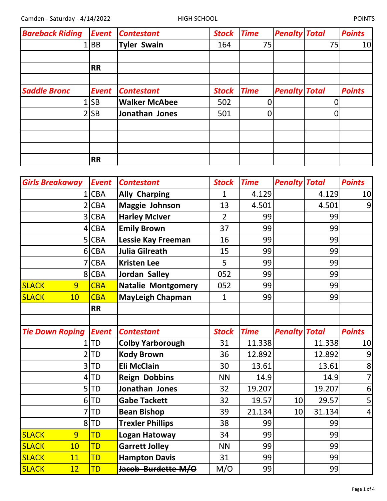| <b>Bareback Riding</b> | <b>Event</b> | <b>Contestant</b>    | <b>Stock</b> | <b>Time</b> | <b>Penalty Total</b> |    | <b>Points</b> |
|------------------------|--------------|----------------------|--------------|-------------|----------------------|----|---------------|
|                        | 1 BB         | <b>Tyler Swain</b>   | 164          | 75          |                      | 75 | 10            |
|                        |              |                      |              |             |                      |    |               |
|                        | <b>RR</b>    |                      |              |             |                      |    |               |
|                        |              |                      |              |             |                      |    |               |
| <b>Saddle Bronc</b>    | <b>Event</b> | <b>Contestant</b>    | <b>Stock</b> | <b>Time</b> | <b>Penalty Total</b> |    | <b>Points</b> |
|                        | 1 SB         | <b>Walker McAbee</b> | 502          |             |                      |    |               |
|                        | $2$ SB       | Jonathan Jones       | 501          | 0           |                      |    |               |
|                        |              |                      |              |             |                      |    |               |
|                        |              |                      |              |             |                      |    |               |
|                        |              |                      |              |             |                      |    |               |
|                        | <b>RR</b>    |                      |              |             |                      |    |               |

| <b>Girls Breakaway</b> | Event        | <b>Contestant</b>         | <b>Stock</b>   | <b>Time</b> | <b>Penalty Total</b> |        | <b>Points</b>  |
|------------------------|--------------|---------------------------|----------------|-------------|----------------------|--------|----------------|
|                        | <b>CBA</b>   | <b>Ally Charping</b>      | $\mathbf{1}$   | 4.129       |                      | 4.129  | 10             |
|                        | <b>CBA</b>   | Maggie Johnson            | 13             | 4.501       |                      | 4.501  | $\overline{9}$ |
| 3                      | <b>CBA</b>   | <b>Harley McIver</b>      | $\overline{2}$ | 99          |                      | 99     |                |
| 4                      | <b>CBA</b>   | <b>Emily Brown</b>        | 37             | 99          |                      | 99     |                |
|                        | 5 CBA        | <b>Lessie Kay Freeman</b> | 16             | 99          |                      | 99     |                |
| 6                      | <b>CBA</b>   | <b>Julia Gilreath</b>     | 15             | 99          |                      | 99     |                |
|                        | <b>CBA</b>   | <b>Kristen Lee</b>        | 5              | 99          |                      | 99     |                |
| 8                      | <b>CBA</b>   | Jordan Salley             | 052            | 99          |                      | 99     |                |
| <b>SLACK</b><br>9      | <b>CBA</b>   | <b>Natalie Montgomery</b> | 052            | 99          |                      | 99     |                |
| <b>SLACK</b><br>10     | <b>CBA</b>   | <b>MayLeigh Chapman</b>   | $\mathbf{1}$   | 99          |                      | 99     |                |
|                        | <b>RR</b>    |                           |                |             |                      |        |                |
|                        |              |                           |                |             |                      |        |                |
|                        |              |                           |                |             |                      |        |                |
| <b>Tie Down Roping</b> | <b>Event</b> | <b>Contestant</b>         | <b>Stock</b>   | <b>Time</b> | <b>Penalty Total</b> |        | <b>Points</b>  |
| $\mathbf{1}$           | <b>TD</b>    | <b>Colby Yarborough</b>   | 31             | 11.338      |                      | 11.338 |                |
|                        | <b>TD</b>    | <b>Kody Brown</b>         | 36             | 12.892      |                      | 12.892 | 9              |
| 3                      | <b>TD</b>    | <b>Eli McClain</b>        | 30             | 13.61       |                      | 13.61  | 8              |
| 4                      | TD           | <b>Reign Dobbins</b>      | <b>NN</b>      | 14.9        |                      | 14.9   | $\overline{7}$ |
| 5                      | TD           | Jonathan Jones            | 32             | 19.207      |                      | 19.207 | 10<br>6        |
| 6                      | <b>ITD</b>   | <b>Gabe Tackett</b>       | 32             | 19.57       | 10                   | 29.57  | 5              |
|                        | <b>TD</b>    | <b>Bean Bishop</b>        | 39             | 21.134      | 10                   | 31.134 | $\overline{4}$ |
| 8                      | <b>TD</b>    | <b>Trexler Phillips</b>   | 38             | 99          |                      | 99     |                |
| <b>SLACK</b><br>9      | TD           | Logan Hatoway             | 34             | 99          |                      | 99     |                |
| <b>SLACK</b><br>10     | TD           | <b>Garrett Jolley</b>     | <b>NN</b>      | 99          |                      | 99     |                |
| <b>SLACK</b><br>11     | <b>TD</b>    | <b>Hampton Davis</b>      | 31             | 99          |                      | 99     |                |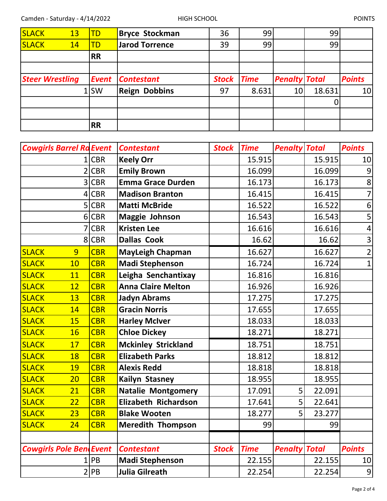| <b>SLACK</b> | 13                     | <b>TD</b> | <b>Bryce Stockman</b> | 36           | 99          |                      | 99     |               |
|--------------|------------------------|-----------|-----------------------|--------------|-------------|----------------------|--------|---------------|
| <b>SLACK</b> | 14                     | <b>TD</b> | <b>Jarod Torrence</b> | 39           | 99          |                      | 99     |               |
|              |                        | <b>RR</b> |                       |              |             |                      |        |               |
|              |                        |           |                       |              |             |                      |        |               |
|              | <b>Steer Wrestling</b> | Event     | <b>Contestant</b>     | <b>Stock</b> | <b>Time</b> | <b>Penalty Total</b> |        | <b>Points</b> |
|              |                        | 1lSW      | <b>Reign Dobbins</b>  | 97           | 8.631       | 10                   | 18.631 | 10            |
|              |                        |           |                       |              |             |                      |        |               |
|              |                        |           |                       |              |             |                      |        |               |
|              |                        | <b>RR</b> |                       |              |             |                      |        |               |

| <b>Cowgirls Barrel Ra Event</b> |            | <b>Contestant</b>          | <b>Stock</b> | <b>Time</b> | <b>Penalty Total</b> |        | <b>Points</b>  |
|---------------------------------|------------|----------------------------|--------------|-------------|----------------------|--------|----------------|
|                                 | <b>CBR</b> | <b>Keely Orr</b>           |              | 15.915      |                      | 15.915 | 10             |
|                                 | <b>CBR</b> | <b>Emily Brown</b>         |              | 16.099      |                      | 16.099 | $\overline{9}$ |
| 3                               | <b>CBR</b> | <b>Emma Grace Durden</b>   |              | 16.173      |                      | 16.173 | 8              |
| 4                               | <b>CBR</b> | <b>Madison Branton</b>     |              | 16.415      |                      | 16.415 | $\overline{7}$ |
| 5                               | <b>CBR</b> | <b>Matti McBride</b>       |              | 16.522      |                      | 16.522 | 6              |
| 6                               | <b>CBR</b> | Maggie Johnson             |              | 16.543      |                      | 16.543 | 5              |
|                                 | <b>CBR</b> | <b>Kristen Lee</b>         |              | 16.616      |                      | 16.616 | $\overline{4}$ |
| 8 <sup>1</sup>                  | <b>CBR</b> | <b>Dallas Cook</b>         |              | 16.62       |                      | 16.62  | $\mathsf{3}$   |
| <b>SLACK</b><br>9               | <b>CBR</b> | <b>MayLeigh Chapman</b>    |              | 16.627      |                      | 16.627 | $\overline{2}$ |
| <b>SLACK</b><br>10              | <b>CBR</b> | <b>Madi Stephenson</b>     |              | 16.724      |                      | 16.724 | $\mathbf{1}$   |
| <b>SLACK</b><br>11              | <b>CBR</b> | Leigha Senchantixay        |              | 16.816      |                      | 16.816 |                |
| <b>SLACK</b><br>12              | <b>CBR</b> | <b>Anna Claire Melton</b>  |              | 16.926      |                      | 16.926 |                |
| <b>SLACK</b><br>13              | <b>CBR</b> | <b>Jadyn Abrams</b>        |              | 17.275      |                      | 17.275 |                |
| <b>SLACK</b><br>14              | <b>CBR</b> | <b>Gracin Norris</b>       |              | 17.655      |                      | 17.655 |                |
| <b>SLACK</b><br>15              | <b>CBR</b> | <b>Harley McIver</b>       |              | 18.033      |                      | 18.033 |                |
| <b>SLACK</b><br><b>16</b>       | <b>CBR</b> | <b>Chloe Dickey</b>        |              | 18.271      |                      | 18.271 |                |
| <b>SLACK</b><br>17              | <b>CBR</b> | <b>Mckinley Strickland</b> |              | 18.751      |                      | 18.751 |                |
| <b>SLACK</b><br>18              | <b>CBR</b> | <b>Elizabeth Parks</b>     |              | 18.812      |                      | 18.812 |                |
| <b>SLACK</b><br>19              | <b>CBR</b> | <b>Alexis Redd</b>         |              | 18.818      |                      | 18.818 |                |
| <b>SLACK</b><br>20              | <b>CBR</b> | <b>Kailyn Stasney</b>      |              | 18.955      |                      | 18.955 |                |
| <b>SLACK</b><br>21              | <b>CBR</b> | <b>Natalie Montgomery</b>  |              | 17.091      | 5                    | 22.091 |                |
| <b>SLACK</b><br>22              | <b>CBR</b> | Elizabeth Richardson       |              | 17.641      | 5                    | 22.641 |                |
| <b>SLACK</b><br>23              | <b>CBR</b> | <b>Blake Wooten</b>        |              | 18.277      | 5                    | 23.277 |                |
| <b>SLACK</b><br>24              | <b>CBR</b> | <b>Meredith Thompson</b>   |              | 99          |                      | 99     |                |
|                                 |            |                            |              |             |                      |        |                |
| <b>Cowgirls Pole BendEvent</b>  |            | <b>Contestant</b>          | <b>Stock</b> | <b>Time</b> | <b>Penalty Total</b> |        | <b>Points</b>  |
|                                 | PB         | <b>Madi Stephenson</b>     |              | 22.155      |                      | 22.155 | 10             |
|                                 | 2 PB       | Julia Gilreath             |              | 22.254      |                      | 22.254 | $\overline{9}$ |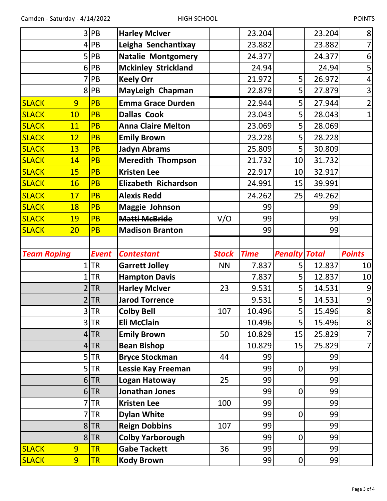|                              | 3                   | PB                     | <b>Harley McIver</b>                     |              | 23.204      |                      | 23.204   | 8              |
|------------------------------|---------------------|------------------------|------------------------------------------|--------------|-------------|----------------------|----------|----------------|
|                              |                     | PB                     | Leigha Senchantixay                      |              | 23.882      |                      | 23.882   | $\overline{7}$ |
|                              | 5                   | PB                     | <b>Natalie Montgomery</b>                |              | 24.377      |                      | 24.377   | 6              |
|                              | 6                   | PB                     | <b>Mckinley Strickland</b>               |              | 24.94       |                      | 24.94    | 5              |
|                              |                     | PB                     | <b>Keely Orr</b>                         |              | 21.972      | 5                    | 26.972   | 4              |
|                              | 8                   | PB                     | MayLeigh Chapman                         |              | 22.879      | 5                    | 27.879   | 3              |
| <b>SLACK</b>                 | 9                   | <b>PB</b>              | <b>Emma Grace Durden</b>                 |              | 22.944      | 5                    | 27.944   | $\overline{2}$ |
| <b>SLACK</b>                 | 10                  | <b>PB</b>              | <b>Dallas Cook</b>                       |              | 23.043      | 5                    | 28.043   | $\overline{1}$ |
| <b>SLACK</b>                 | 11                  | <b>PB</b>              | <b>Anna Claire Melton</b>                |              | 23.069      | 5                    | 28.069   |                |
| <b>SLACK</b>                 | 12                  | <b>PB</b>              | <b>Emily Brown</b>                       |              | 23.228      | 5                    | 28.228   |                |
| <b>SLACK</b>                 | 13                  | <b>PB</b>              | <b>Jadyn Abrams</b>                      |              | 25.809      | 5                    | 30.809   |                |
| <b>SLACK</b>                 | 14                  | <b>PB</b>              | <b>Meredith Thompson</b>                 |              | 21.732      | 10                   | 31.732   |                |
| <b>SLACK</b>                 | 15                  | <b>PB</b>              | <b>Kristen Lee</b>                       |              | 22.917      | 10                   | 32.917   |                |
| <b>SLACK</b>                 | <b>16</b>           | <b>PB</b>              | <b>Elizabeth Richardson</b>              |              | 24.991      | 15                   | 39.991   |                |
| <b>SLACK</b>                 | 17                  | <b>PB</b>              | <b>Alexis Redd</b>                       |              | 24.262      | 25                   | 49.262   |                |
| <b>SLACK</b>                 | 18                  | <b>PB</b>              | <b>Maggie Johnson</b>                    |              | 99          |                      | 99       |                |
| <b>SLACK</b>                 | <b>19</b>           | <b>PB</b>              | <b>Matti McBride</b>                     | V/O          | 99          |                      | 99       |                |
| <b>SLACK</b>                 | 20                  | <b>PB</b>              | <b>Madison Branton</b>                   |              | 99          |                      | 99       |                |
|                              |                     |                        |                                          |              |             |                      |          |                |
|                              |                     |                        |                                          |              |             |                      |          |                |
| <b>Team Roping</b>           |                     | <b>Event</b>           | <b>Contestant</b>                        | <b>Stock</b> | <b>Time</b> | <b>Penalty Total</b> |          | <b>Points</b>  |
|                              |                     | <b>TR</b>              | <b>Garrett Jolley</b>                    | <b>NN</b>    | 7.837       | 5                    | 12.837   | 10             |
|                              |                     | <b>TR</b>              | <b>Hampton Davis</b>                     |              | 7.837       | 5                    | 12.837   | 10             |
|                              |                     | <b>TR</b>              | <b>Harley McIver</b>                     | 23           | 9.531       | 5                    | 14.531   | 9              |
|                              |                     | <b>TR</b>              | <b>Jarod Torrence</b>                    |              | 9.531       | 5                    | 14.531   | $\overline{9}$ |
|                              |                     | $3$ TR                 | <b>Colby Bell</b>                        | 107          | 10.496      | 5                    | 15.496   | $\bf{8}$       |
|                              | 3                   | <b>TR</b>              | Eli McClain                              |              | 10.496      | 5                    | 15.496   | 8              |
|                              |                     | $4$ TR                 | <b>Emily Brown</b>                       | 50           | 10.829      | 15                   | 25.829   | $\overline{7}$ |
|                              | 4                   | <b>TR</b>              | <b>Bean Bishop</b>                       |              | 10.829      | 15                   | 25.829   | $\overline{7}$ |
|                              | 5                   | <b>TR</b>              | <b>Bryce Stockman</b>                    | 44           | 99          |                      | 99       |                |
|                              | 5                   | <b>TR</b>              | Lessie Kay Freeman                       |              | 99          | 0                    | 99       |                |
|                              |                     | $6$ TR                 | Logan Hatoway                            | 25           | 99          |                      | 99       |                |
|                              | 6                   | <b>TR</b>              | Jonathan Jones                           |              | 99          | 0                    | 99       |                |
|                              |                     | <b>TR</b>              | <b>Kristen Lee</b>                       | 100          | 99          |                      | 99       |                |
|                              |                     | <b>TR</b>              | <b>Dylan White</b>                       |              | 99          | 0                    | 99       |                |
|                              |                     | $8$ TR                 | <b>Reign Dobbins</b>                     | 107          | 99          |                      | 99       |                |
|                              |                     | 8 TR                   | <b>Colby Yarborough</b>                  |              | 99          | 0                    | 99       |                |
| <b>SLACK</b><br><b>SLACK</b> | 9<br>$\overline{9}$ | <b>TR</b><br><b>TR</b> | <b>Gabe Tackett</b><br><b>Kody Brown</b> | 36           | 99<br>99    | 0                    | 99<br>99 |                |